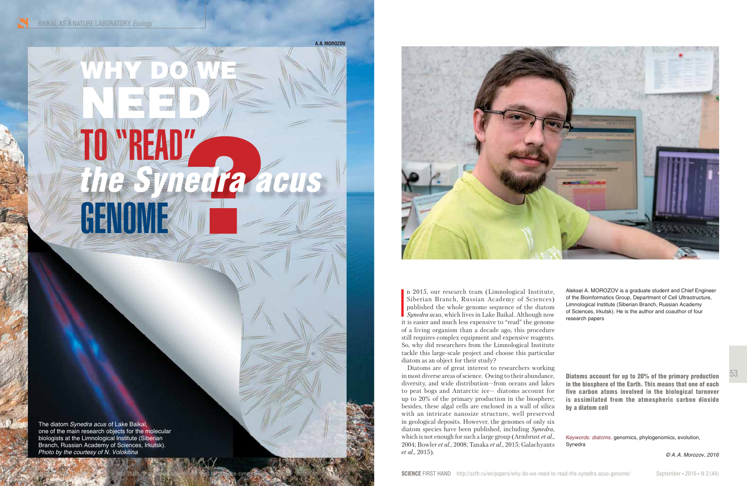Aleksei A. MOROZOV is a graduate student and Chief Engineer of the Bioinformatics Group, Department of Cell Ultrastructure, Limnological Institute (Siberian Branch, Russian Academy of Sciences, Irkutsk). He is the author and coauthor of four research papers

The diatom *Synedra acus* of Lake Baikal, one of the main research objects for the molecular biologists at the Limnological Institute (Siberian Branch, Russian Academy of Sciences, Irkutsk). *Photo by the courtesy of N. Volokitina*



Diatoms account for up to 20% of the primary production in the biosphere of the Earth. This means that one of each five carbon atoms involved in the biological turnover is assimilated from the atmospheric carbon dioxide

|<br>|<br>|<br>|<br>|<br>| n 2015, our research team (Limnological Institute, Siberian Branch, Russian Academy of Sciences) published the whole genome sequence of the diatom *Synedra acus*, which lives in Lake Baikal. Although now it is easier and much less expensive to "read" the genome of a living organism than a decade ago, this procedure still requires complex equipment and expensive reagents. So, why did researchers from the Limnological Institute tackle this large-scale project and choose this particular diatom as an object for their study?

by a diatom cell

*Keywords: diatoms,* genomics, phylogenomics, evolution,

Synedra

*© A. A. Morozov, 2016*

**A. A. MOROZOV**

## ? *the Synedra acus*  GENOME NEED TO "READ"

WHY DO WE

Diatoms are of great interest to researchers working in most diverse areas of science. Owing to their abundance, diversity, and wide distribution—from oceans and lakes to peat bogs and Antarctic ice— diatoms account for up to 20% of the primary production in the biosphere; besides, these algal cells are enclosed in a wall of silica with an intricate nanosize structure, well preserved in geological deposits. However, the genomes of only six diatom species have been published, including *Synedra*, which is not enough for such a large group (Armbrust *et al.*, 2004; Bowler *et al.*, 2008; Tanaka *et al.*, 2015; Galachyants *et al.*, 2015).